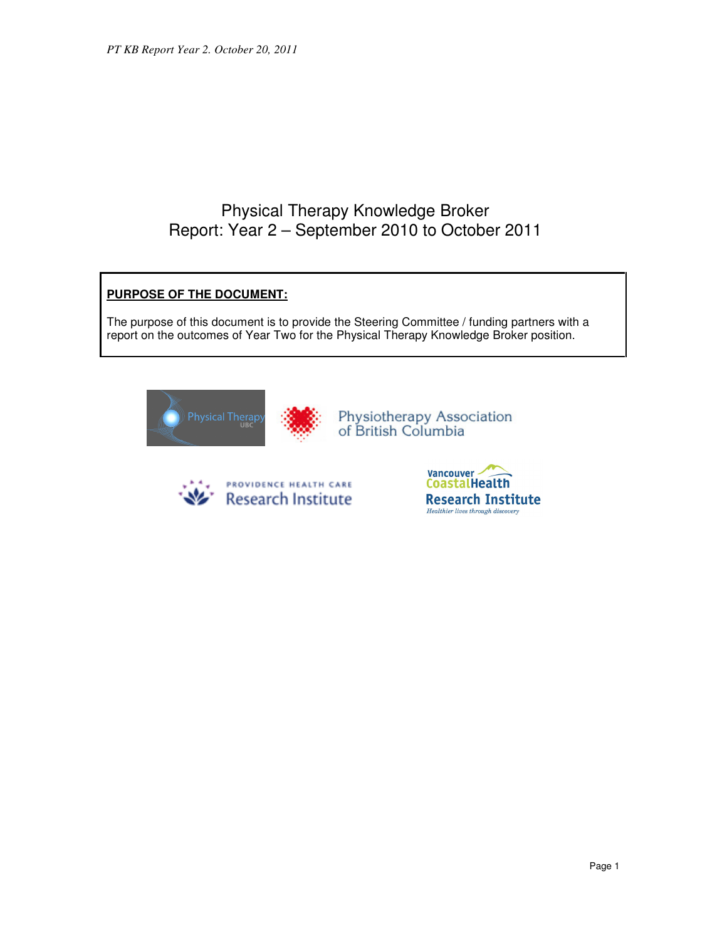# Physical Therapy Knowledge Broker Report: Year 2 – September 2010 to October 2011

# **PURPOSE OF THE DOCUMENT:**

The purpose of this document is to provide the Steering Committee / funding partners with a report on the outcomes of Year Two for the Physical Therapy Knowledge Broker position.





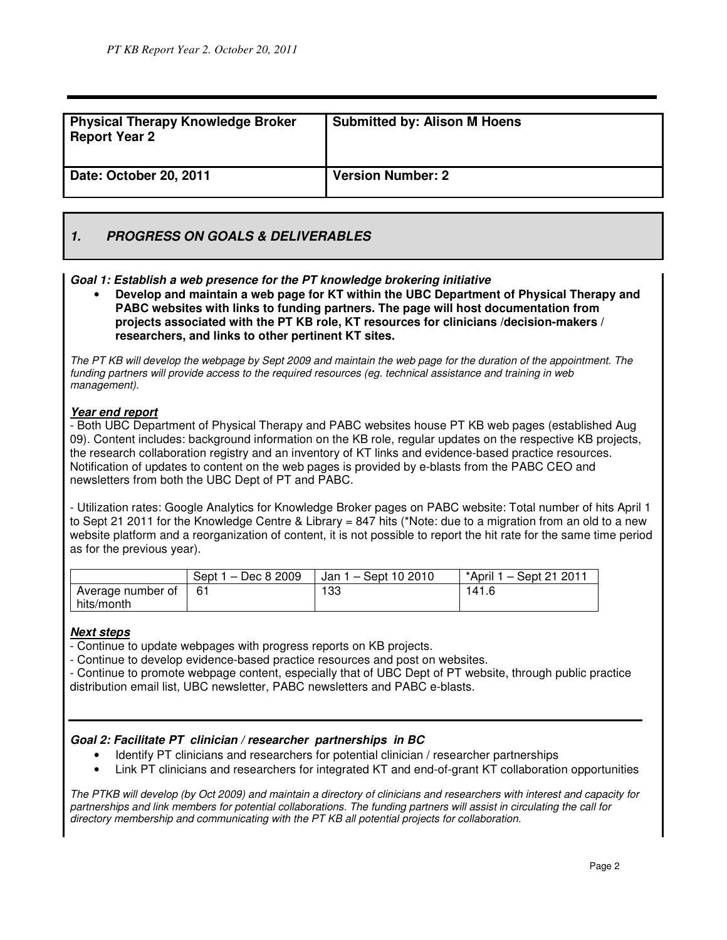| <b>Physical Therapy Knowledge Broker</b><br><b>Report Year 2</b> | <b>Submitted by: Alison M Hoens</b> |
|------------------------------------------------------------------|-------------------------------------|
| Date: October 20, 2011                                           | <b>Version Number: 2</b>            |

# **1. PROGRESS ON GOALS & DELIVERABLES**

#### **Goal 1: Establish a web presence for the PT knowledge brokering initiative**

• **Develop and maintain a web page for KT within the UBC Department of Physical Therapy and PABC websites with links to funding partners. The page will host documentation from projects associated with the PT KB role, KT resources for clinicians /decision-makers / researchers, and links to other pertinent KT sites.**

The PT KB will develop the webpage by Sept 2009 and maintain the web page for the duration of the appointment. The funding partners will provide access to the required resources (eg. technical assistance and training in web management).

#### **Year end report**

- Both UBC Department of Physical Therapy and PABC websites house PT KB web pages (established Aug 09). Content includes: background information on the KB role, regular updates on the respective KB projects, the research collaboration registry and an inventory of KT links and evidence-based practice resources. Notification of updates to content on the web pages is provided by e-blasts from the PABC CEO and newsletters from both the UBC Dept of PT and PABC.

- Utilization rates: Google Analytics for Knowledge Broker pages on PABC website: Total number of hits April 1 to Sept 21 2011 for the Knowledge Centre & Library = 847 hits (\*Note: due to a migration from an old to a new website platform and a reorganization of content, it is not possible to report the hit rate for the same time period as for the previous year).

|                   | – Dec 8 2009<br>Sept 1 | Jan 1 - Sept 10 2010 | *April $1 -$ Sept 21 2011 |
|-------------------|------------------------|----------------------|---------------------------|
| Average number of | 61                     | 133                  | 141.6                     |
| hits/month        |                        |                      |                           |

#### **Next steps**

- Continue to update webpages with progress reports on KB projects.

- Continue to develop evidence-based practice resources and post on websites.

- Continue to promote webpage content, especially that of UBC Dept of PT website, through public practice distribution email list, UBC newsletter, PABC newsletters and PABC e-blasts.

### **Goal 2: Facilitate PT clinician / researcher partnerships in BC**

- Identify PT clinicians and researchers for potential clinician / researcher partnerships
- Link PT clinicians and researchers for integrated KT and end-of-grant KT collaboration opportunities

The PTKB will develop (by Oct 2009) and maintain a directory of clinicians and researchers with interest and capacity for partnerships and link members for potential collaborations. The funding partners will assist in circulating the call for directory membership and communicating with the PT KB all potential projects for collaboration.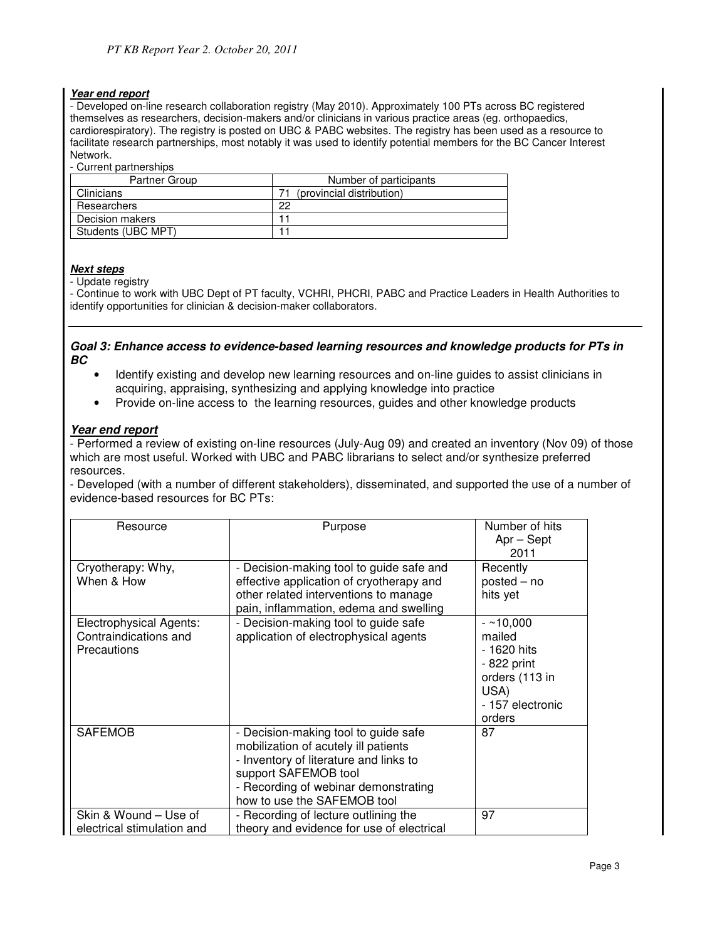#### **Year end report**

- Developed on-line research collaboration registry (May 2010). Approximately 100 PTs across BC registered themselves as researchers, decision-makers and/or clinicians in various practice areas (eg. orthopaedics, cardiorespiratory). The registry is posted on UBC & PABC websites. The registry has been used as a resource to facilitate research partnerships, most notably it was used to identify potential members for the BC Cancer Interest Network.

- Current partnerships

| Partner Group |                    | Number of participants    |
|---------------|--------------------|---------------------------|
| Clinicians    |                    | (provincial distribution) |
| Researchers   |                    | 22                        |
|               | Decision makers    |                           |
|               | Students (UBC MPT) |                           |

#### **Next steps**

- Update registry

- Continue to work with UBC Dept of PT faculty, VCHRI, PHCRI, PABC and Practice Leaders in Health Authorities to identify opportunities for clinician & decision-maker collaborators.

#### **Goal 3: Enhance access to evidence-based learning resources and knowledge products for PTs in BC**

- Identify existing and develop new learning resources and on-line guides to assist clinicians in acquiring, appraising, synthesizing and applying knowledge into practice
- Provide on-line access to the learning resources, guides and other knowledge products

#### **Year end report**

- Performed a review of existing on-line resources (July-Aug 09) and created an inventory (Nov 09) of those which are most useful. Worked with UBC and PABC librarians to select and/or synthesize preferred resources.

- Developed (with a number of different stakeholders), disseminated, and supported the use of a number of evidence-based resources for BC PTs:

| Resource                                                               | Purpose                                                                       | Number of hits<br>$Apr - Sept$                                                                             |
|------------------------------------------------------------------------|-------------------------------------------------------------------------------|------------------------------------------------------------------------------------------------------------|
|                                                                        |                                                                               | 2011                                                                                                       |
| Cryotherapy: Why,                                                      | - Decision-making tool to guide safe and                                      | Recently                                                                                                   |
| When & How                                                             | effective application of cryotherapy and                                      | $posted - no$                                                                                              |
|                                                                        | other related interventions to manage                                         | hits yet                                                                                                   |
|                                                                        | pain, inflammation, edema and swelling                                        |                                                                                                            |
| Electrophysical Agents:<br>Contraindications and<br><b>Precautions</b> | - Decision-making tool to guide safe<br>application of electrophysical agents | $-210,000$<br>mailed<br>- 1620 hits<br>- 822 print<br>orders (113 in<br>USA)<br>- 157 electronic<br>orders |
| <b>SAFEMOB</b>                                                         | - Decision-making tool to guide safe                                          | 87                                                                                                         |
|                                                                        | mobilization of acutely ill patients                                          |                                                                                                            |
|                                                                        | - Inventory of literature and links to                                        |                                                                                                            |
|                                                                        | support SAFEMOB tool                                                          |                                                                                                            |
|                                                                        | - Recording of webinar demonstrating                                          |                                                                                                            |
|                                                                        | how to use the SAFEMOB tool                                                   |                                                                                                            |
| Skin & Wound – Use of                                                  | - Recording of lecture outlining the                                          | 97                                                                                                         |
| electrical stimulation and                                             | theory and evidence for use of electrical                                     |                                                                                                            |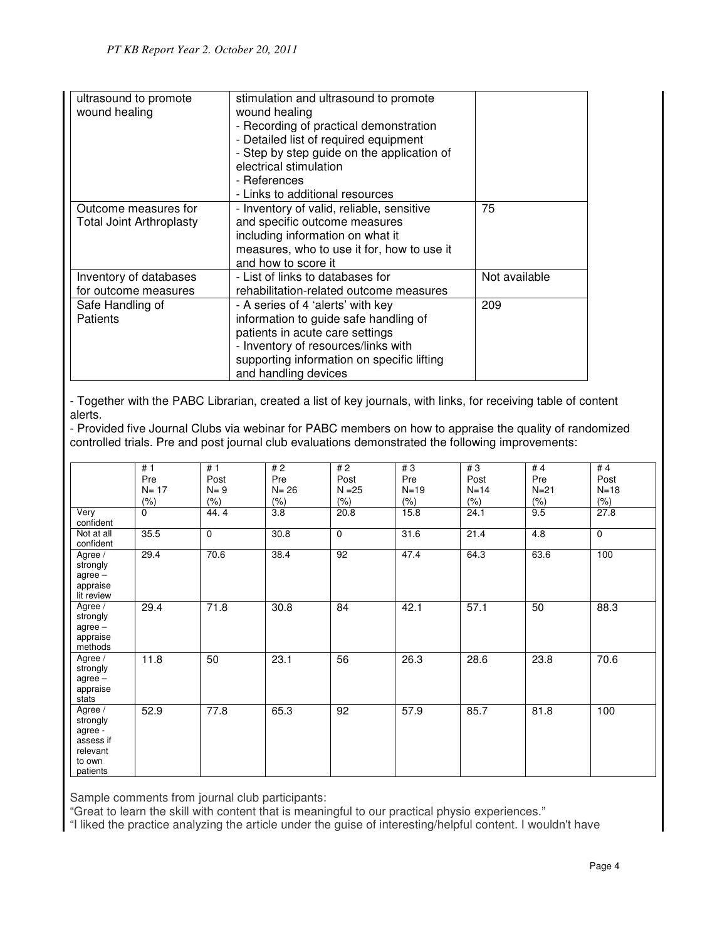| ultrasound to promote<br>wound healing                  | stimulation and ultrasound to promote<br>wound healing<br>- Recording of practical demonstration<br>- Detailed list of required equipment<br>- Step by step guide on the application of<br>electrical stimulation<br>- References<br>- Links to additional resources |               |
|---------------------------------------------------------|----------------------------------------------------------------------------------------------------------------------------------------------------------------------------------------------------------------------------------------------------------------------|---------------|
| Outcome measures for<br><b>Total Joint Arthroplasty</b> | - Inventory of valid, reliable, sensitive<br>and specific outcome measures<br>including information on what it<br>measures, who to use it for, how to use it<br>and how to score it                                                                                  | 75            |
| Inventory of databases<br>for outcome measures          | - List of links to databases for<br>rehabilitation-related outcome measures                                                                                                                                                                                          | Not available |
| Safe Handling of<br>Patients                            | - A series of 4 'alerts' with key<br>information to guide safe handling of<br>patients in acute care settings<br>- Inventory of resources/links with<br>supporting information on specific lifting<br>and handling devices                                           | 209           |

- Together with the PABC Librarian, created a list of key journals, with links, for receiving table of content alerts.

- Provided five Journal Clubs via webinar for PABC members on how to appraise the quality of randomized controlled trials. Pre and post journal club evaluations demonstrated the following improvements:

|                                                                               | #1       | #1          | #2               | #2          | #3      | #3      | #4     | #4          |
|-------------------------------------------------------------------------------|----------|-------------|------------------|-------------|---------|---------|--------|-------------|
|                                                                               | Pre      | Post        | Pre              | Post        | Pre     | Post    | Pre    | Post        |
|                                                                               | $N = 17$ | $N = 9$     | $N = 26$         | $N = 25$    | $N=19$  | $N=14$  | $N=21$ | $N = 18$    |
|                                                                               | $(\% )$  | $(\% )$     | $(\% )$          | $(\% )$     | $(\% )$ | $(\% )$ | (% )   | (% )        |
| Very<br>confident                                                             | $\Omega$ | 44.4        | $\overline{3.8}$ | 20.8        | 15.8    | 24.1    | 9.5    | 27.8        |
| Not at all<br>confident                                                       | 35.5     | $\mathbf 0$ | 30.8             | $\mathbf 0$ | 31.6    | 21.4    | 4.8    | $\mathbf 0$ |
| Agree /<br>strongly<br>$agree -$<br>appraise<br>lit review                    | 29.4     | 70.6        | 38.4             | 92          | 47.4    | 64.3    | 63.6   | 100         |
| Agree /<br>strongly<br>$agree -$<br>appraise<br>methods                       | 29.4     | 71.8        | 30.8             | 84          | 42.1    | 57.1    | 50     | 88.3        |
| Agree /<br>strongly<br>$agree -$<br>appraise<br>stats                         | 11.8     | 50          | 23.1             | 56          | 26.3    | 28.6    | 23.8   | 70.6        |
| Agree /<br>strongly<br>agree -<br>assess if<br>relevant<br>to own<br>patients | 52.9     | 77.8        | 65.3             | 92          | 57.9    | 85.7    | 81.8   | 100         |

Sample comments from journal club participants:

"Great to learn the skill with content that is meaningful to our practical physio experiences."

"I liked the practice analyzing the article under the guise of interesting/helpful content. I wouldn't have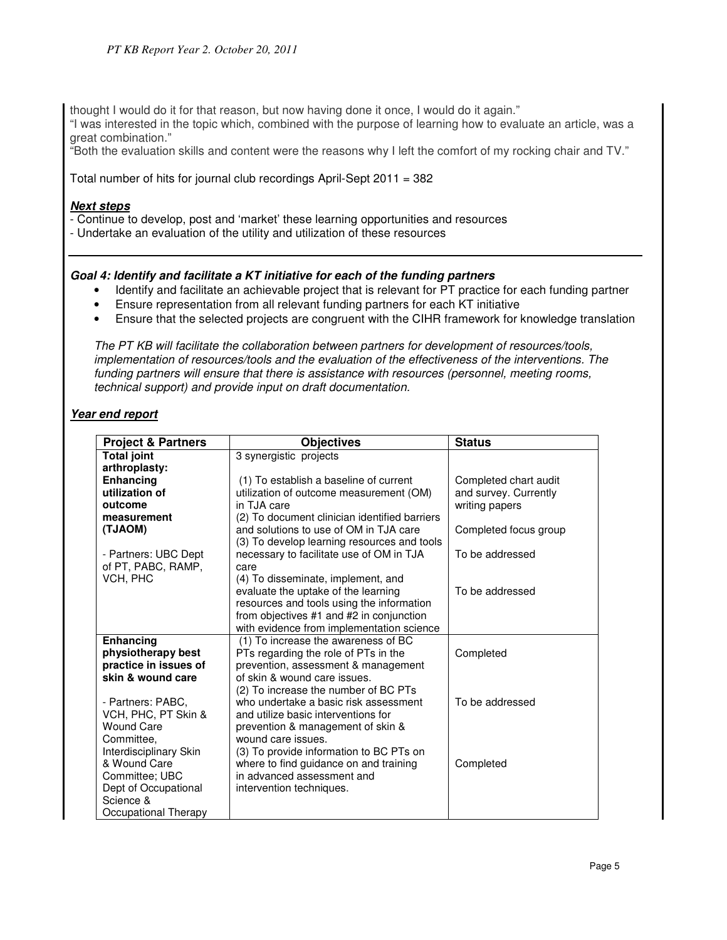thought I would do it for that reason, but now having done it once, I would do it again."

"I was interested in the topic which, combined with the purpose of learning how to evaluate an article, was a great combination."

"Both the evaluation skills and content were the reasons why I left the comfort of my rocking chair and TV."

Total number of hits for journal club recordings April-Sept 2011 = 382

# **Next steps**

- Continue to develop, post and 'market' these learning opportunities and resources

- Undertake an evaluation of the utility and utilization of these resources

# **Goal 4: Identify and facilitate a KT initiative for each of the funding partners**

- Identify and facilitate an achievable project that is relevant for PT practice for each funding partner
- Ensure representation from all relevant funding partners for each KT initiative
- Ensure that the selected projects are congruent with the CIHR framework for knowledge translation

The PT KB will facilitate the collaboration between partners for development of resources/tools, implementation of resources/tools and the evaluation of the effectiveness of the interventions. The funding partners will ensure that there is assistance with resources (personnel, meeting rooms, technical support) and provide input on draft documentation.

# **Year end report**

| <b>Project &amp; Partners</b> | <b>Objectives</b>                             | <b>Status</b>         |
|-------------------------------|-----------------------------------------------|-----------------------|
| <b>Total joint</b>            | 3 synergistic projects                        |                       |
| arthroplasty:                 |                                               |                       |
| Enhancing                     | (1) To establish a baseline of current        | Completed chart audit |
| utilization of                | utilization of outcome measurement (OM)       | and survey. Currently |
| outcome                       | in TJA care                                   | writing papers        |
| measurement                   | (2) To document clinician identified barriers |                       |
| (TJAOM)                       | and solutions to use of OM in TJA care        | Completed focus group |
|                               | (3) To develop learning resources and tools   |                       |
| - Partners: UBC Dept          | necessary to facilitate use of OM in TJA      | To be addressed       |
| of PT, PABC, RAMP,            | care                                          |                       |
| VCH, PHC                      | (4) To disseminate, implement, and            |                       |
|                               | evaluate the uptake of the learning           | To be addressed       |
|                               | resources and tools using the information     |                       |
|                               | from objectives #1 and #2 in conjunction      |                       |
|                               | with evidence from implementation science     |                       |
| Enhancing                     | (1) To increase the awareness of BC           |                       |
| physiotherapy best            | PTs regarding the role of PTs in the          | Completed             |
| practice in issues of         | prevention, assessment & management           |                       |
| skin & wound care             | of skin & wound care issues.                  |                       |
|                               | (2) To increase the number of BC PTs          |                       |
| - Partners: PABC.             | who undertake a basic risk assessment         | To be addressed       |
| VCH, PHC, PT Skin &           | and utilize basic interventions for           |                       |
| <b>Wound Care</b>             | prevention & management of skin &             |                       |
| Committee,                    | wound care issues.                            |                       |
| Interdisciplinary Skin        | (3) To provide information to BC PTs on       |                       |
| & Wound Care                  | where to find guidance on and training        | Completed             |
| Committee: UBC                | in advanced assessment and                    |                       |
| Dept of Occupational          | intervention techniques.                      |                       |
| Science &                     |                                               |                       |
| Occupational Therapy          |                                               |                       |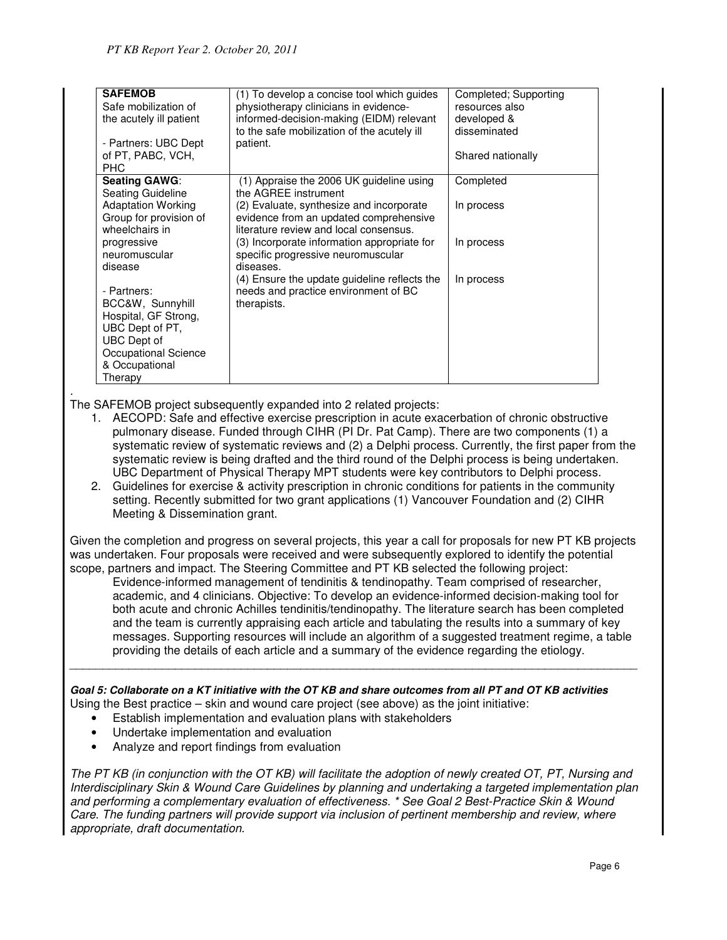| <b>SAFEMOB</b>            | (1) To develop a concise tool which guides   | Completed; Supporting |
|---------------------------|----------------------------------------------|-----------------------|
| Safe mobilization of      | physiotherapy clinicians in evidence-        | resources also        |
| the acutely ill patient   | informed-decision-making (EIDM) relevant     | developed &           |
|                           | to the safe mobilization of the acutely ill  | disseminated          |
| - Partners: UBC Dept      | patient.                                     |                       |
| of PT, PABC, VCH,         |                                              | Shared nationally     |
| <b>PHC</b>                |                                              |                       |
| <b>Seating GAWG:</b>      | (1) Appraise the 2006 UK guideline using     | Completed             |
| Seating Guideline         | the AGREE instrument                         |                       |
| <b>Adaptation Working</b> | (2) Evaluate, synthesize and incorporate     | In process            |
| Group for provision of    | evidence from an updated comprehensive       |                       |
| wheelchairs in            | literature review and local consensus.       |                       |
| progressive               | (3) Incorporate information appropriate for  | In process            |
| neuromuscular             | specific progressive neuromuscular           |                       |
| disease                   | diseases.                                    |                       |
|                           | (4) Ensure the update guideline reflects the | In process            |
| - Partners:               | needs and practice environment of BC         |                       |
| BCC&W, Sunnyhill          | therapists.                                  |                       |
| Hospital, GF Strong,      |                                              |                       |
| UBC Dept of PT.           |                                              |                       |
| UBC Dept of               |                                              |                       |
| Occupational Science      |                                              |                       |
| & Occupational            |                                              |                       |
| Therapy                   |                                              |                       |

. The SAFEMOB project subsequently expanded into 2 related projects:

- 1. AECOPD: Safe and effective exercise prescription in acute exacerbation of chronic obstructive pulmonary disease. Funded through CIHR (PI Dr. Pat Camp). There are two components (1) a systematic review of systematic reviews and (2) a Delphi process. Currently, the first paper from the systematic review is being drafted and the third round of the Delphi process is being undertaken. UBC Department of Physical Therapy MPT students were key contributors to Delphi process.
- 2. Guidelines for exercise & activity prescription in chronic conditions for patients in the community setting. Recently submitted for two grant applications (1) Vancouver Foundation and (2) CIHR Meeting & Dissemination grant.

Given the completion and progress on several projects, this year a call for proposals for new PT KB projects was undertaken. Four proposals were received and were subsequently explored to identify the potential scope, partners and impact. The Steering Committee and PT KB selected the following project:

Evidence-informed management of tendinitis & tendinopathy. Team comprised of researcher, academic, and 4 clinicians. Objective: To develop an evidence-informed decision-making tool for both acute and chronic Achilles tendinitis/tendinopathy. The literature search has been completed and the team is currently appraising each article and tabulating the results into a summary of key messages. Supporting resources will include an algorithm of a suggested treatment regime, a table providing the details of each article and a summary of the evidence regarding the etiology.

**Goal 5: Collaborate on a KT initiative with the OT KB and share outcomes from all PT and OT KB activities**  Using the Best practice – skin and wound care project (see above) as the joint initiative:

\_\_\_\_\_\_\_\_\_\_\_\_\_\_\_\_\_\_\_\_\_\_\_\_\_\_\_\_\_\_\_\_\_\_\_\_\_\_\_\_\_\_\_\_\_\_\_\_\_\_\_\_\_\_\_\_\_\_\_\_\_\_\_\_\_\_\_\_\_\_\_\_\_\_\_\_\_\_\_\_\_\_\_\_\_\_

- Establish implementation and evaluation plans with stakeholders
- Undertake implementation and evaluation
- Analyze and report findings from evaluation

The PT KB (in conjunction with the OT KB) will facilitate the adoption of newly created OT, PT, Nursing and Interdisciplinary Skin & Wound Care Guidelines by planning and undertaking a targeted implementation plan and performing a complementary evaluation of effectiveness. \* See Goal 2 Best-Practice Skin & Wound Care. The funding partners will provide support via inclusion of pertinent membership and review, where appropriate, draft documentation.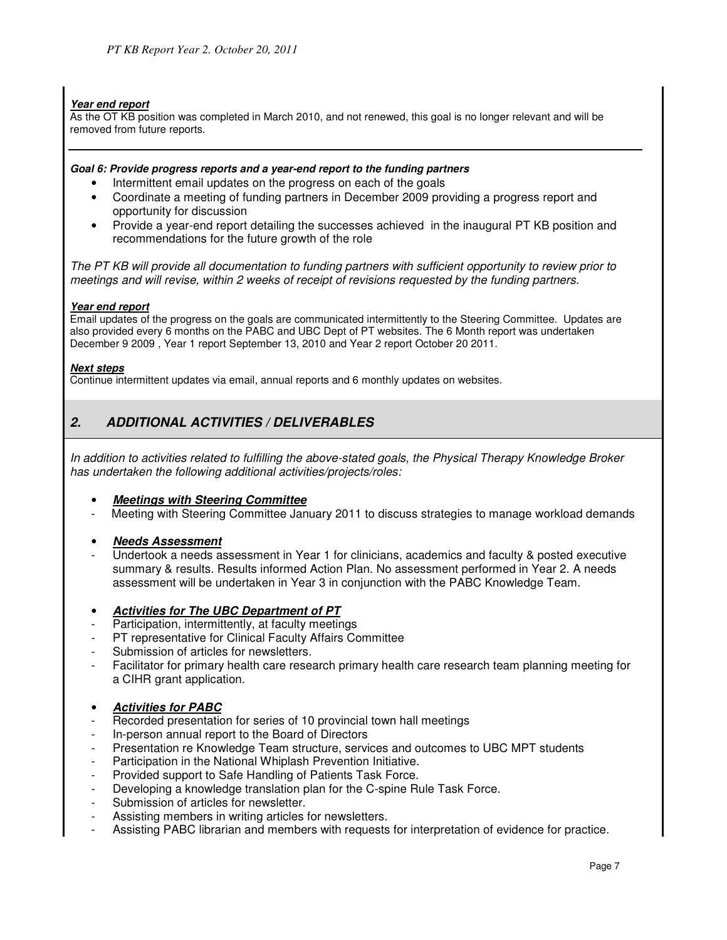#### **Year end report**

As the OT KB position was completed in March 2010, and not renewed, this goal is no longer relevant and will be removed from future reports.

#### **Goal 6: Provide progress reports and a year-end report to the funding partners**

- Intermittent email updates on the progress on each of the goals
- Coordinate a meeting of funding partners in December 2009 providing a progress report and opportunity for discussion
- Provide a year-end report detailing the successes achieved in the inaugural PT KB position and recommendations for the future growth of the role

The PT KB will provide all documentation to funding partners with sufficient opportunity to review prior to meetings and will revise, within 2 weeks of receipt of revisions requested by the funding partners.

#### **Year end report**

Email updates of the progress on the goals are communicated intermittently to the Steering Committee. Updates are also provided every 6 months on the PABC and UBC Dept of PT websites. The 6 Month report was undertaken December 9 2009 , Year 1 report September 13, 2010 and Year 2 report October 20 2011.

#### **Next steps**

Continue intermittent updates via email, annual reports and 6 monthly updates on websites.

# **2. ADDITIONAL ACTIVITIES / DELIVERABLES**

In addition to activities related to fulfilling the above-stated goals, the Physical Therapy Knowledge Broker has undertaken the following additional activities/projects/roles:

#### • **Meetings with Steering Committee**

- Meeting with Steering Committee January 2011 to discuss strategies to manage workload demands
- **Needs Assessment**
- Undertook a needs assessment in Year 1 for clinicians, academics and faculty & posted executive summary & results. Results informed Action Plan. No assessment performed in Year 2. A needs assessment will be undertaken in Year 3 in conjunction with the PABC Knowledge Team.
- **Activities for The UBC Department of PT**
- Participation, intermittently, at faculty meetings
- PT representative for Clinical Faculty Affairs Committee
- Submission of articles for newsletters.
- Facilitator for primary health care research primary health care research team planning meeting for a CIHR grant application.
- **Activities for PABC**
- Recorded presentation for series of 10 provincial town hall meetings
- In-person annual report to the Board of Directors
- Presentation re Knowledge Team structure, services and outcomes to UBC MPT students
- Participation in the National Whiplash Prevention Initiative.
- Provided support to Safe Handling of Patients Task Force.
- Developing a knowledge translation plan for the C-spine Rule Task Force.
- Submission of articles for newsletter.
- Assisting members in writing articles for newsletters.
- Assisting PABC librarian and members with requests for interpretation of evidence for practice.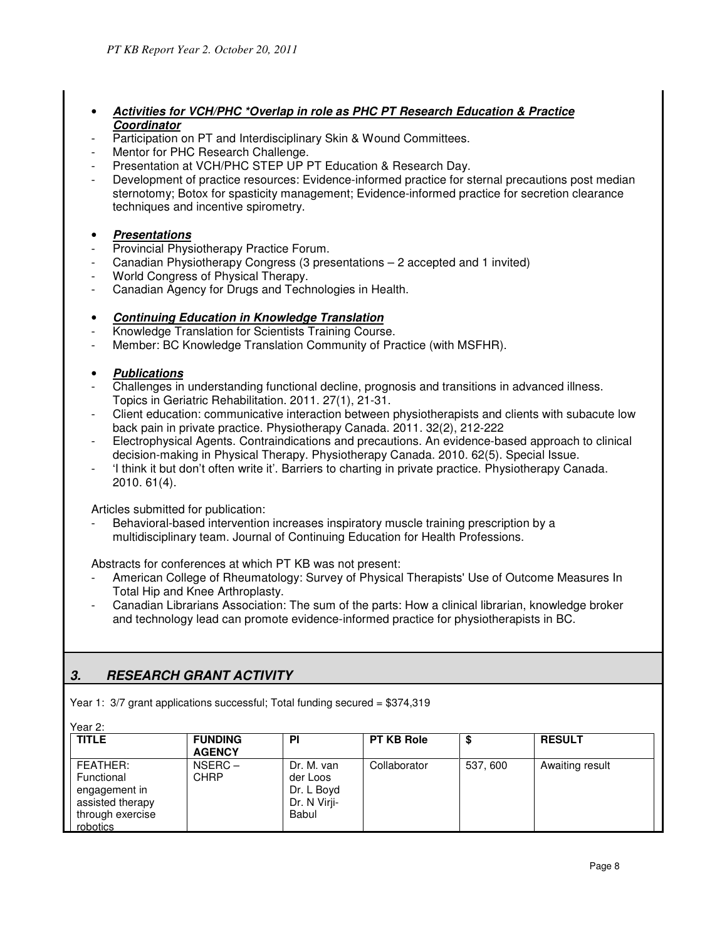# • **Activities for VCH/PHC \*Overlap in role as PHC PT Research Education & Practice Coordinator**

- Participation on PT and Interdisciplinary Skin & Wound Committees.
- Mentor for PHC Research Challenge.
- Presentation at VCH/PHC STEP UP PT Education & Research Day.
- Development of practice resources: Evidence-informed practice for sternal precautions post median sternotomy; Botox for spasticity management; Evidence-informed practice for secretion clearance techniques and incentive spirometry.

# • **Presentations**

- Provincial Physiotherapy Practice Forum.
- Canadian Physiotherapy Congress (3 presentations 2 accepted and 1 invited)
- World Congress of Physical Therapy.
- Canadian Agency for Drugs and Technologies in Health.

# • **Continuing Education in Knowledge Translation**

- Knowledge Translation for Scientists Training Course.
- Member: BC Knowledge Translation Community of Practice (with MSFHR).

### • **Publications**

- Challenges in understanding functional decline, prognosis and transitions in advanced illness. Topics in Geriatric Rehabilitation. 2011. 27(1), 21-31.
- Client education: communicative interaction between physiotherapists and clients with subacute low back pain in private practice. Physiotherapy Canada. 2011. 32(2), 212-222
- Electrophysical Agents. Contraindications and precautions. An evidence-based approach to clinical decision-making in Physical Therapy. Physiotherapy Canada. 2010. 62(5). Special Issue.
- 'I think it but don't often write it'. Barriers to charting in private practice. Physiotherapy Canada. 2010. 61(4).

Articles submitted for publication:

Behavioral-based intervention increases inspiratory muscle training prescription by a multidisciplinary team. Journal of Continuing Education for Health Professions.

Abstracts for conferences at which PT KB was not present:

- American College of Rheumatology: Survey of Physical Therapists' Use of Outcome Measures In Total Hip and Knee Arthroplasty.
- Canadian Librarians Association: The sum of the parts: How a clinical librarian, knowledge broker and technology lead can promote evidence-informed practice for physiotherapists in BC.

# **3. RESEARCH GRANT ACTIVITY**

Year 1: 3/7 grant applications successful; Total funding secured = \$374,319

| <b>TITLE</b>                                                                                | <b>FUNDING</b><br><b>AGENCY</b> | <b>PI</b>                                                     | <b>PT KB Role</b> |          | <b>RESULT</b>   |
|---------------------------------------------------------------------------------------------|---------------------------------|---------------------------------------------------------------|-------------------|----------|-----------------|
| FEATHER:<br>Functional<br>engagement in<br>assisted therapy<br>through exercise<br>robotics | $NSERC -$<br>CHRP               | Dr. M. van<br>der Loos<br>Dr. L Boyd<br>Dr. N Virji-<br>Babul | Collaborator      | 537, 600 | Awaiting result |